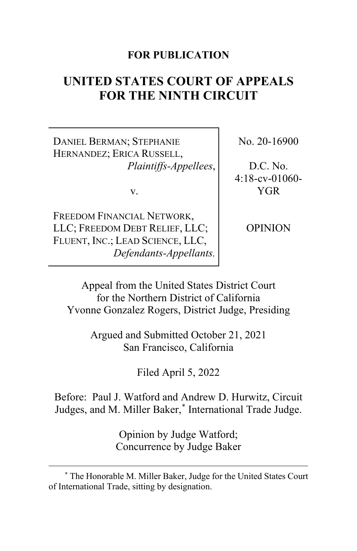### **FOR PUBLICATION**

# **UNITED STATES COURT OF APPEALS FOR THE NINTH CIRCUIT**

DANIEL BERMAN; STEPHANIE HERNANDEZ; ERICA RUSSELL, *Plaintiffs-Appellees*,

v.

FREEDOM FINANCIAL NETWORK, LLC; FREEDOM DEBT RELIEF, LLC; FLUENT, INC.; LEAD SCIENCE, LLC, *Defendants-Appellants.* No. 20-16900

D.C. No. 4:18-cv-01060- YGR

OPINION

Appeal from the United States District Court for the Northern District of California Yvonne Gonzalez Rogers, District Judge, Presiding

> Argued and Submitted October 21, 2021 San Francisco, California

> > Filed April 5, 2022

Before: Paul J. Watford and Andrew D. Hurwitz, Circuit Judges, and M. Miller Baker,[\\*](#page-0-0) International Trade Judge.

> Opinion by Judge Watford; Concurrence by Judge Baker

<span id="page-0-0"></span><sup>\*</sup> The Honorable M. Miller Baker, Judge for the United States Court of International Trade, sitting by designation.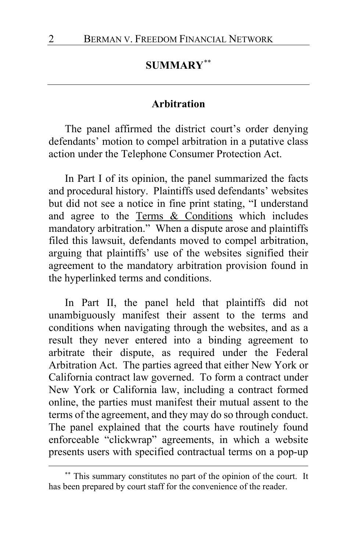### **SUMMARY**[\\*\\*](#page-1-0)

### **Arbitration**

The panel affirmed the district court's order denying defendants' motion to compel arbitration in a putative class action under the Telephone Consumer Protection Act.

In Part I of its opinion, the panel summarized the facts and procedural history. Plaintiffs used defendants' websites but did not see a notice in fine print stating, "I understand and agree to the Terms & Conditions which includes mandatory arbitration." When a dispute arose and plaintiffs filed this lawsuit, defendants moved to compel arbitration, arguing that plaintiffs' use of the websites signified their agreement to the mandatory arbitration provision found in the hyperlinked terms and conditions.

In Part II, the panel held that plaintiffs did not unambiguously manifest their assent to the terms and conditions when navigating through the websites, and as a result they never entered into a binding agreement to arbitrate their dispute, as required under the Federal Arbitration Act. The parties agreed that either New York or California contract law governed. To form a contract under New York or California law, including a contract formed online, the parties must manifest their mutual assent to the terms of the agreement, and they may do so through conduct. The panel explained that the courts have routinely found enforceable "clickwrap" agreements, in which a website presents users with specified contractual terms on a pop-up

<span id="page-1-0"></span><sup>\*\*</sup> This summary constitutes no part of the opinion of the court. It has been prepared by court staff for the convenience of the reader.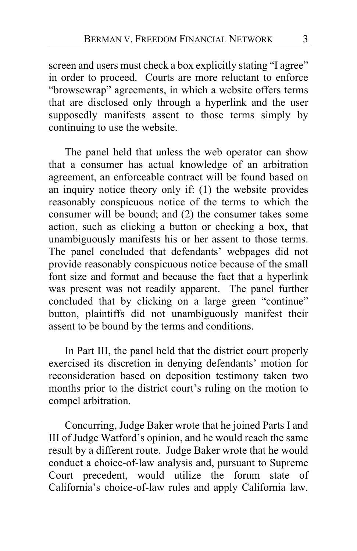screen and users must check a box explicitly stating "I agree" in order to proceed. Courts are more reluctant to enforce "browsewrap" agreements, in which a website offers terms that are disclosed only through a hyperlink and the user supposedly manifests assent to those terms simply by continuing to use the website.

The panel held that unless the web operator can show that a consumer has actual knowledge of an arbitration agreement, an enforceable contract will be found based on an inquiry notice theory only if: (1) the website provides reasonably conspicuous notice of the terms to which the consumer will be bound; and (2) the consumer takes some action, such as clicking a button or checking a box, that unambiguously manifests his or her assent to those terms. The panel concluded that defendants' webpages did not provide reasonably conspicuous notice because of the small font size and format and because the fact that a hyperlink was present was not readily apparent. The panel further concluded that by clicking on a large green "continue" button, plaintiffs did not unambiguously manifest their assent to be bound by the terms and conditions.

In Part III, the panel held that the district court properly exercised its discretion in denying defendants' motion for reconsideration based on deposition testimony taken two months prior to the district court's ruling on the motion to compel arbitration.

Concurring, Judge Baker wrote that he joined Parts I and III of Judge Watford's opinion, and he would reach the same result by a different route. Judge Baker wrote that he would conduct a choice-of-law analysis and, pursuant to Supreme Court precedent, would utilize the forum state of California's choice-of-law rules and apply California law.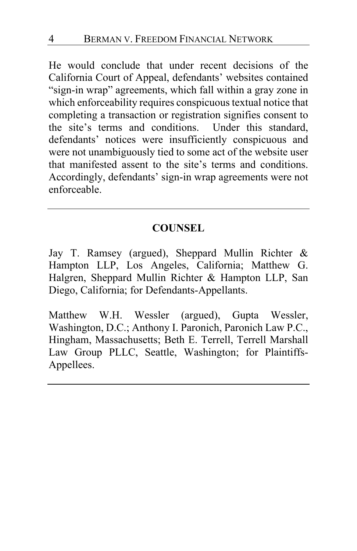He would conclude that under recent decisions of the California Court of Appeal, defendants' websites contained "sign-in wrap" agreements, which fall within a gray zone in which enforceability requires conspicuous textual notice that completing a transaction or registration signifies consent to<br>the site's terms and conditions. Under this standard, the site's terms and conditions. defendants' notices were insufficiently conspicuous and were not unambiguously tied to some act of the website user that manifested assent to the site's terms and conditions. Accordingly, defendants' sign-in wrap agreements were not enforceable.

### **COUNSEL**

Jay T. Ramsey (argued), Sheppard Mullin Richter & Hampton LLP, Los Angeles, California; Matthew G. Halgren, Sheppard Mullin Richter & Hampton LLP, San Diego, California; for Defendants-Appellants.

Matthew W.H. Wessler (argued), Gupta Wessler, Washington, D.C.; Anthony I. Paronich, Paronich Law P.C., Hingham, Massachusetts; Beth E. Terrell, Terrell Marshall Law Group PLLC, Seattle, Washington; for Plaintiffs-Appellees.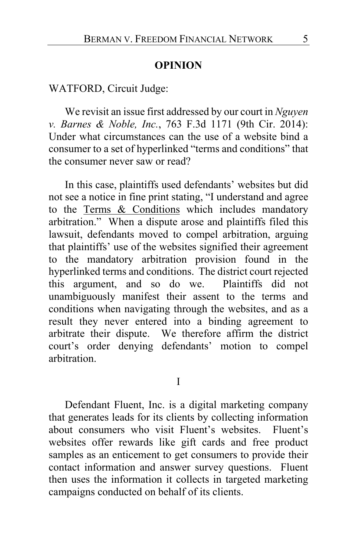### **OPINION**

### WATFORD, Circuit Judge:

We revisit an issue first addressed by our court in *Nguyen v. Barnes & Noble, Inc.*, 763 F.3d 1171 (9th Cir. 2014): Under what circumstances can the use of a website bind a consumer to a set of hyperlinked "terms and conditions" that the consumer never saw or read?

In this case, plaintiffs used defendants' websites but did not see a notice in fine print stating, "I understand and agree to the Terms & Conditions which includes mandatory arbitration." When a dispute arose and plaintiffs filed this lawsuit, defendants moved to compel arbitration, arguing that plaintiffs' use of the websites signified their agreement to the mandatory arbitration provision found in the hyperlinked terms and conditions. The district court rejected this argument, and so do we. Plaintiffs did not unambiguously manifest their assent to the terms and conditions when navigating through the websites, and as a result they never entered into a binding agreement to arbitrate their dispute. We therefore affirm the district court's order denying defendants' motion to compel arbitration.

I

Defendant Fluent, Inc. is a digital marketing company that generates leads for its clients by collecting information about consumers who visit Fluent's websites. Fluent's websites offer rewards like gift cards and free product samples as an enticement to get consumers to provide their contact information and answer survey questions. Fluent then uses the information it collects in targeted marketing campaigns conducted on behalf of its clients.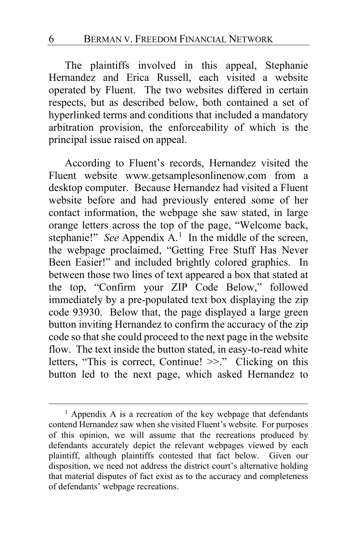The plaintiffs involved in this appeal, Stephanie Hernandez and Erica Russell, each visited a website operated by Fluent. The two websites differed in certain respects, but as described below, both contained a set of hyperlinked terms and conditions that included a mandatory arbitration provision, the enforceability of which is the principal issue raised on appeal.

According to Fluent's records, Hernandez visited the Fluent website www.getsamplesonlinenow.com from a desktop computer. Because Hernandez had visited a Fluent website before and had previously entered some of her contact information, the webpage she saw stated, in large orange letters across the top of the page, "Welcome back, stephanie!" *See* Appendix A.<sup>[1](#page-5-0)</sup> In the middle of the screen, the webpage proclaimed, "Getting Free Stuff Has Never Been Easier!" and included brightly colored graphics. In between those two lines of text appeared a box that stated at the top, "Confirm your ZIP Code Below," followed immediately by a pre-populated text box displaying the zip code 93930. Below that, the page displayed a large green button inviting Hernandez to confirm the accuracy of the zip code so that she could proceed to the next page in the website flow. The text inside the button stated, in easy-to-read white letters, "This is correct, Continue! >>." Clicking on this button led to the next page, which asked Hernandez to

<span id="page-5-0"></span> $<sup>1</sup>$  Appendix A is a recreation of the key webpage that defendants</sup> contend Hernandez saw when she visited Fluent's website. For purposes of this opinion, we will assume that the recreations produced by defendants accurately depict the relevant webpages viewed by each plaintiff, although plaintiffs contested that fact below. Given our disposition, we need not address the district court's alternative holding that material disputes of fact exist as to the accuracy and completeness of defendants' webpage recreations.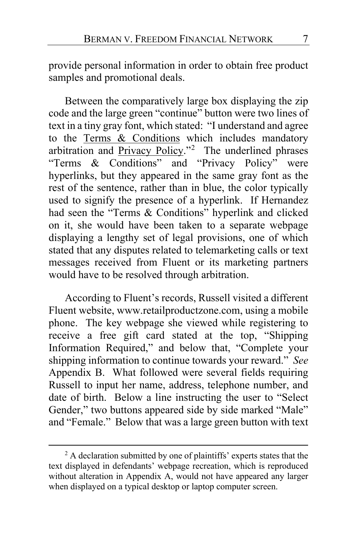provide personal information in order to obtain free product samples and promotional deals.

Between the comparatively large box displaying the zip code and the large green "continue" button were two lines of text in a tiny gray font, which stated: "I understand and agree to the Terms & Conditions which includes mandatory arbitration and Privacy Policy."<sup>[2](#page-6-0)</sup> The underlined phrases "Terms & Conditions" and "Privacy Policy" were hyperlinks, but they appeared in the same gray font as the rest of the sentence, rather than in blue, the color typically used to signify the presence of a hyperlink. If Hernandez had seen the "Terms & Conditions" hyperlink and clicked on it, she would have been taken to a separate webpage displaying a lengthy set of legal provisions, one of which stated that any disputes related to telemarketing calls or text messages received from Fluent or its marketing partners would have to be resolved through arbitration.

According to Fluent's records, Russell visited a different Fluent website, www.retailproductzone.com, using a mobile phone. The key webpage she viewed while registering to receive a free gift card stated at the top, "Shipping Information Required," and below that, "Complete your shipping information to continue towards your reward." *See* Appendix B. What followed were several fields requiring Russell to input her name, address, telephone number, and date of birth. Below a line instructing the user to "Select Gender," two buttons appeared side by side marked "Male" and "Female." Below that was a large green button with text

<span id="page-6-0"></span><sup>&</sup>lt;sup>2</sup> A declaration submitted by one of plaintiffs' experts states that the text displayed in defendants' webpage recreation, which is reproduced without alteration in Appendix A, would not have appeared any larger when displayed on a typical desktop or laptop computer screen.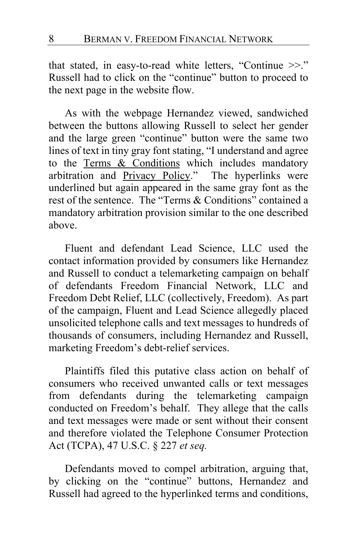that stated, in easy-to-read white letters, "Continue >>." Russell had to click on the "continue" button to proceed to the next page in the website flow.

As with the webpage Hernandez viewed, sandwiched between the buttons allowing Russell to select her gender and the large green "continue" button were the same two lines of text in tiny gray font stating, "I understand and agree to the Terms & Conditions which includes mandatory arbitration and Privacy Policy." The hyperlinks were underlined but again appeared in the same gray font as the rest of the sentence. The "Terms & Conditions" contained a mandatory arbitration provision similar to the one described above.

Fluent and defendant Lead Science, LLC used the contact information provided by consumers like Hernandez and Russell to conduct a telemarketing campaign on behalf of defendants Freedom Financial Network, LLC and Freedom Debt Relief, LLC (collectively, Freedom). As part of the campaign, Fluent and Lead Science allegedly placed unsolicited telephone calls and text messages to hundreds of thousands of consumers, including Hernandez and Russell, marketing Freedom's debt-relief services.

Plaintiffs filed this putative class action on behalf of consumers who received unwanted calls or text messages from defendants during the telemarketing campaign conducted on Freedom's behalf. They allege that the calls and text messages were made or sent without their consent and therefore violated the Telephone Consumer Protection Act (TCPA), 47 U.S.C. § 227 *et seq.*

Defendants moved to compel arbitration, arguing that, by clicking on the "continue" buttons, Hernandez and Russell had agreed to the hyperlinked terms and conditions,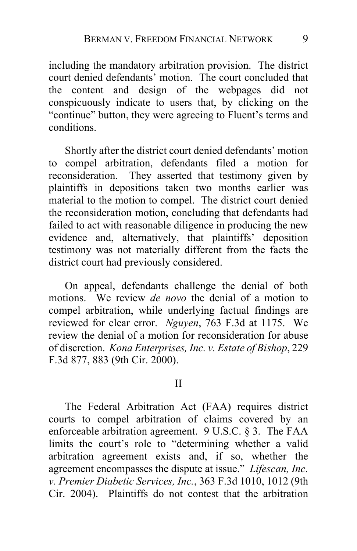including the mandatory arbitration provision. The district court denied defendants' motion. The court concluded that the content and design of the webpages did not conspicuously indicate to users that, by clicking on the "continue" button, they were agreeing to Fluent's terms and conditions.

Shortly after the district court denied defendants' motion to compel arbitration, defendants filed a motion for reconsideration. They asserted that testimony given by plaintiffs in depositions taken two months earlier was material to the motion to compel. The district court denied the reconsideration motion, concluding that defendants had failed to act with reasonable diligence in producing the new evidence and, alternatively, that plaintiffs' deposition testimony was not materially different from the facts the district court had previously considered.

On appeal, defendants challenge the denial of both motions. We review *de novo* the denial of a motion to compel arbitration, while underlying factual findings are reviewed for clear error. *Nguyen*, 763 F.3d at 1175. We review the denial of a motion for reconsideration for abuse of discretion. *Kona Enterprises, Inc. v. Estate of Bishop*, 229 F.3d 877, 883 (9th Cir. 2000).

#### II

The Federal Arbitration Act (FAA) requires district courts to compel arbitration of claims covered by an enforceable arbitration agreement. 9 U.S.C. § 3. The FAA limits the court's role to "determining whether a valid arbitration agreement exists and, if so, whether the agreement encompasses the dispute at issue." *Lifescan, Inc. v. Premier Diabetic Services, Inc.*, 363 F.3d 1010, 1012 (9th Cir. 2004). Plaintiffs do not contest that the arbitration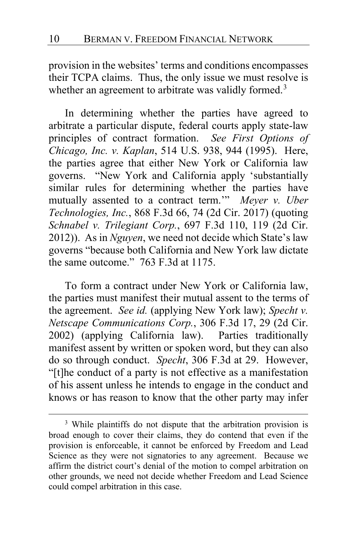provision in the websites' terms and conditions encompasses their TCPA claims. Thus, the only issue we must resolve is whether an agreement to arbitrate was validly formed.<sup>[3](#page-9-0)</sup>

<span id="page-9-1"></span>In determining whether the parties have agreed to arbitrate a particular dispute, federal courts apply state-law principles of contract formation. *See First Options of Chicago, Inc. v. Kaplan*, 514 U.S. 938, 944 (1995). Here, the parties agree that either New York or California law governs. "New York and California apply 'substantially similar rules for determining whether the parties have mutually assented to a contract term.'" *Meyer v. Uber Technologies, Inc.*, 868 F.3d 66, 74 (2d Cir. 2017) (quoting *Schnabel v. Trilegiant Corp.*, 697 F.3d 110, 119 (2d Cir. 2012)). As in *Nguyen*, we need not decide which State's law governs "because both California and New York law dictate the same outcome." 763 F.3d at 1175.

To form a contract under New York or California law, the parties must manifest their mutual assent to the terms of the agreement. *See id.* (applying New York law); *Specht v. Netscape Communications Corp.*, 306 F.3d 17, 29 (2d Cir. 2002) (applying California law). Parties traditionally manifest assent by written or spoken word, but they can also do so through conduct. *Specht*, 306 F.3d at 29. However, "[t]he conduct of a party is not effective as a manifestation of his assent unless he intends to engage in the conduct and knows or has reason to know that the other party may infer

<span id="page-9-0"></span><sup>&</sup>lt;sup>3</sup> While plaintiffs do not dispute that the arbitration provision is broad enough to cover their claims, they do contend that even if the provision is enforceable, it cannot be enforced by Freedom and Lead Science as they were not signatories to any agreement. Because we affirm the district court's denial of the motion to compel arbitration on other grounds, we need not decide whether Freedom and Lead Science could compel arbitration in this case.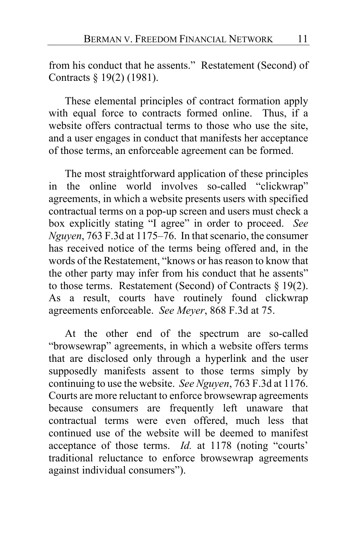from his conduct that he assents." Restatement (Second) of Contracts § 19(2) (1981).

These elemental principles of contract formation apply with equal force to contracts formed online. Thus, if a website offers contractual terms to those who use the site, and a user engages in conduct that manifests her acceptance of those terms, an enforceable agreement can be formed.

The most straightforward application of these principles in the online world involves so-called "clickwrap" agreements, in which a website presents users with specified contractual terms on a pop-up screen and users must check a box explicitly stating "I agree" in order to proceed. *See Nguyen*, 763 F.3d at 1175–76. In that scenario, the consumer has received notice of the terms being offered and, in the words of the Restatement, "knows or has reason to know that the other party may infer from his conduct that he assents" to those terms. Restatement (Second) of Contracts  $\S 19(2)$ . As a result, courts have routinely found clickwrap agreements enforceable. *See Meyer*, 868 F.3d at 75.

At the other end of the spectrum are so-called "browsewrap" agreements, in which a website offers terms that are disclosed only through a hyperlink and the user supposedly manifests assent to those terms simply by continuing to use the website. *See Nguyen*, 763 F.3d at 1176. Courts are more reluctant to enforce browsewrap agreements because consumers are frequently left unaware that contractual terms were even offered, much less that continued use of the website will be deemed to manifest acceptance of those terms. *Id.* at 1178 (noting "courts' traditional reluctance to enforce browsewrap agreements against individual consumers").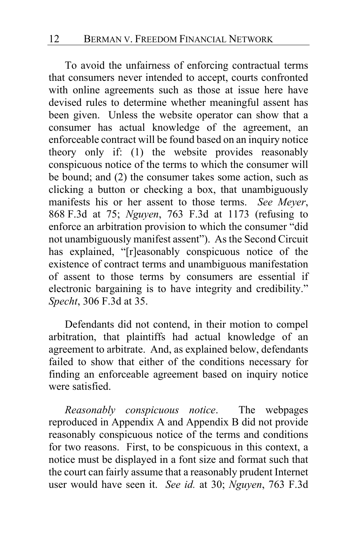To avoid the unfairness of enforcing contractual terms that consumers never intended to accept, courts confronted with online agreements such as those at issue here have devised rules to determine whether meaningful assent has been given. Unless the website operator can show that a consumer has actual knowledge of the agreement, an enforceable contract will be found based on an inquiry notice theory only if: (1) the website provides reasonably conspicuous notice of the terms to which the consumer will be bound; and (2) the consumer takes some action, such as clicking a button or checking a box, that unambiguously manifests his or her assent to those terms. *See Meyer*, 868 F.3d at 75; *Nguyen*, 763 F.3d at 1173 (refusing to enforce an arbitration provision to which the consumer "did not unambiguously manifest assent"). As the Second Circuit has explained, "[r]easonably conspicuous notice of the existence of contract terms and unambiguous manifestation of assent to those terms by consumers are essential if electronic bargaining is to have integrity and credibility." *Specht*, 306 F.3d at 35.

Defendants did not contend, in their motion to compel arbitration, that plaintiffs had actual knowledge of an agreement to arbitrate. And, as explained below, defendants failed to show that either of the conditions necessary for finding an enforceable agreement based on inquiry notice were satisfied.

*Reasonably conspicuous notice*. The webpages reproduced in Appendix A and Appendix B did not provide reasonably conspicuous notice of the terms and conditions for two reasons. First, to be conspicuous in this context, a notice must be displayed in a font size and format such that the court can fairly assume that a reasonably prudent Internet user would have seen it. *See id.* at 30; *Nguyen*, 763 F.3d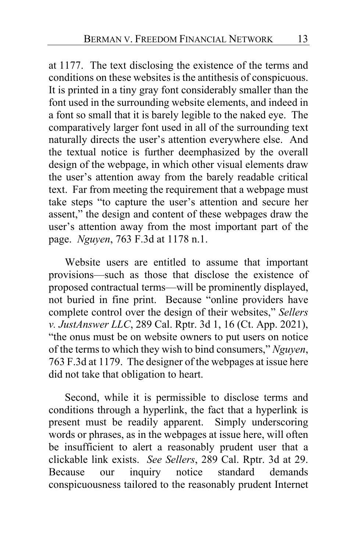<span id="page-12-0"></span>at 1177. The text disclosing the existence of the terms and conditions on these websites is the antithesis of conspicuous. It is printed in a tiny gray font considerably smaller than the font used in the surrounding website elements, and indeed in a font so small that it is barely legible to the naked eye. The comparatively larger font used in all of the surrounding text naturally directs the user's attention everywhere else. And the textual notice is further deemphasized by the overall design of the webpage, in which other visual elements draw the user's attention away from the barely readable critical text. Far from meeting the requirement that a webpage must take steps "to capture the user's attention and secure her assent," the design and content of these webpages draw the user's attention away from the most important part of the page. *Nguyen*, 763 F.3d at 1178 n.1.

Website users are entitled to assume that important provisions—such as those that disclose the existence of proposed contractual terms—will be prominently displayed, not buried in fine print. Because "online providers have complete control over the design of their websites," *Sellers v. JustAnswer LLC*, 289 Cal. Rptr. 3d 1, 16 (Ct. App. 2021), "the onus must be on website owners to put users on notice of the terms to which they wish to bind consumers," *Nguyen*, 763 F.3d at 1179. The designer of the webpages at issue here did not take that obligation to heart.

Second, while it is permissible to disclose terms and conditions through a hyperlink, the fact that a hyperlink is present must be readily apparent. Simply underscoring words or phrases, as in the webpages at issue here, will often be insufficient to alert a reasonably prudent user that a clickable link exists. *See Sellers*, 289 Cal. Rptr. 3d at 29. Because our inquiry notice standard demands conspicuousness tailored to the reasonably prudent Internet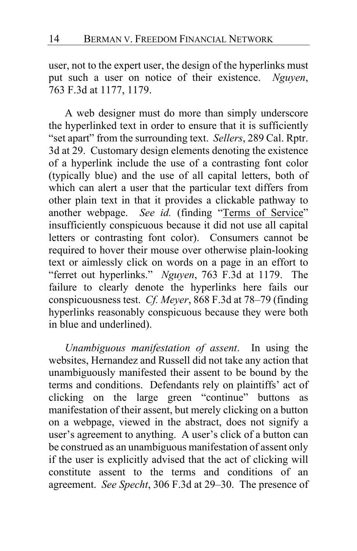user, not to the expert user, the design of the hyperlinks must put such a user on notice of their existence. *Nguyen*, 763 F.3d at 1177, 1179.

A web designer must do more than simply underscore the hyperlinked text in order to ensure that it is sufficiently "set apart" from the surrounding text. *Sellers*, 289 Cal. Rptr. 3d at 29. Customary design elements denoting the existence of a hyperlink include the use of a contrasting font color (typically blue) and the use of all capital letters, both of which can alert a user that the particular text differs from other plain text in that it provides a clickable pathway to another webpage. *See id.* (finding "Terms of Service" insufficiently conspicuous because it did not use all capital letters or contrasting font color). Consumers cannot be required to hover their mouse over otherwise plain-looking text or aimlessly click on words on a page in an effort to "ferret out hyperlinks." *Nguyen*, 763 F.3d at 1179. The failure to clearly denote the hyperlinks here fails our conspicuousness test. *Cf. Meyer*, 868 F.3d at 78–79 (finding hyperlinks reasonably conspicuous because they were both in blue and underlined).

*Unambiguous manifestation of assent*. In using the websites, Hernandez and Russell did not take any action that unambiguously manifested their assent to be bound by the terms and conditions. Defendants rely on plaintiffs' act of clicking on the large green "continue" buttons as manifestation of their assent, but merely clicking on a button on a webpage, viewed in the abstract, does not signify a user's agreement to anything. A user's click of a button can be construed as an unambiguous manifestation of assent only if the user is explicitly advised that the act of clicking will constitute assent to the terms and conditions of an agreement. *See Specht*, 306 F.3d at 29–30. The presence of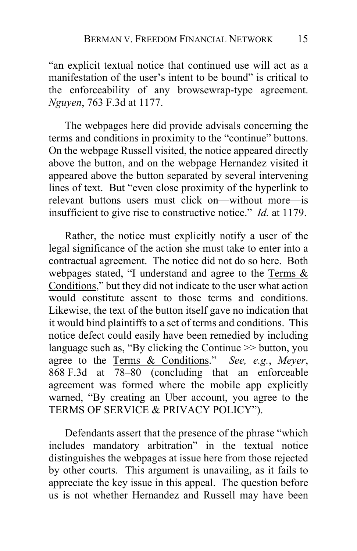"an explicit textual notice that continued use will act as a manifestation of the user's intent to be bound" is critical to the enforceability of any browsewrap-type agreement. *Nguyen*, 763 F.3d at 1177.

The webpages here did provide advisals concerning the terms and conditions in proximity to the "continue" buttons. On the webpage Russell visited, the notice appeared directly above the button, and on the webpage Hernandez visited it appeared above the button separated by several intervening lines of text. But "even close proximity of the hyperlink to relevant buttons users must click on—without more—is insufficient to give rise to constructive notice." *Id.* at 1179.

Rather, the notice must explicitly notify a user of the legal significance of the action she must take to enter into a contractual agreement. The notice did not do so here. Both webpages stated, "I understand and agree to the Terms  $\&$ Conditions," but they did not indicate to the user what action would constitute assent to those terms and conditions. Likewise, the text of the button itself gave no indication that it would bind plaintiffs to a set of terms and conditions. This notice defect could easily have been remedied by including language such as, "By clicking the Continue >> button, you agree to the Terms & Conditions." *See, e.g.*, *Meyer*, 868 F.3d at 78–80 (concluding that an enforceable agreement was formed where the mobile app explicitly warned, "By creating an Uber account, you agree to the TERMS OF SERVICE & PRIVACY POLICY").

Defendants assert that the presence of the phrase "which includes mandatory arbitration" in the textual notice distinguishes the webpages at issue here from those rejected by other courts. This argument is unavailing, as it fails to appreciate the key issue in this appeal. The question before us is not whether Hernandez and Russell may have been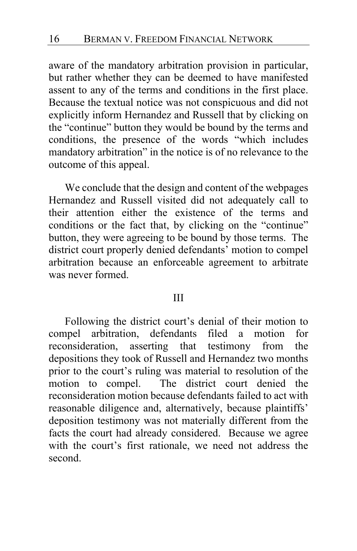aware of the mandatory arbitration provision in particular, but rather whether they can be deemed to have manifested assent to any of the terms and conditions in the first place. Because the textual notice was not conspicuous and did not explicitly inform Hernandez and Russell that by clicking on the "continue" button they would be bound by the terms and conditions, the presence of the words "which includes mandatory arbitration" in the notice is of no relevance to the outcome of this appeal.

We conclude that the design and content of the webpages Hernandez and Russell visited did not adequately call to their attention either the existence of the terms and conditions or the fact that, by clicking on the "continue" button, they were agreeing to be bound by those terms. The district court properly denied defendants' motion to compel arbitration because an enforceable agreement to arbitrate was never formed.

### III

Following the district court's denial of their motion to compel arbitration, defendants filed a motion for reconsideration, asserting that testimony from the depositions they took of Russell and Hernandez two months prior to the court's ruling was material to resolution of the motion to compel. The district court denied the reconsideration motion because defendants failed to act with reasonable diligence and, alternatively, because plaintiffs' deposition testimony was not materially different from the facts the court had already considered. Because we agree with the court's first rationale, we need not address the second.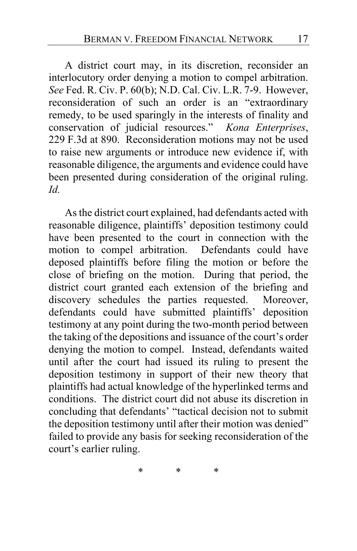A district court may, in its discretion, reconsider an interlocutory order denying a motion to compel arbitration. *See* Fed. R. Civ. P. 60(b); N.D. Cal. Civ. L.R. 7-9. However, reconsideration of such an order is an "extraordinary remedy, to be used sparingly in the interests of finality and conservation of judicial resources." *Kona Enterprises*, 229 F.3d at 890. Reconsideration motions may not be used to raise new arguments or introduce new evidence if, with reasonable diligence, the arguments and evidence could have been presented during consideration of the original ruling. *Id.*

As the district court explained, had defendants acted with reasonable diligence, plaintiffs' deposition testimony could have been presented to the court in connection with the motion to compel arbitration. Defendants could have deposed plaintiffs before filing the motion or before the close of briefing on the motion. During that period, the district court granted each extension of the briefing and discovery schedules the parties requested. Moreover, defendants could have submitted plaintiffs' deposition testimony at any point during the two-month period between the taking of the depositions and issuance of the court's order denying the motion to compel. Instead, defendants waited until after the court had issued its ruling to present the deposition testimony in support of their new theory that plaintiffs had actual knowledge of the hyperlinked terms and conditions. The district court did not abuse its discretion in concluding that defendants' "tactical decision not to submit the deposition testimony until after their motion was denied" failed to provide any basis for seeking reconsideration of the court's earlier ruling.

\* \* \*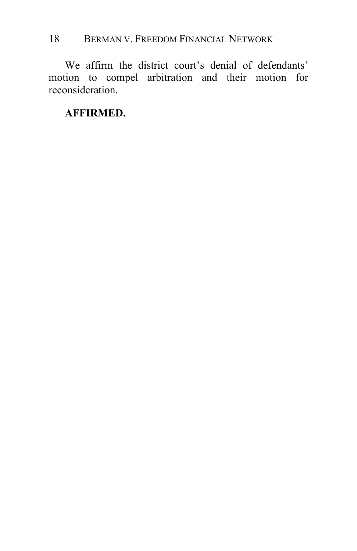We affirm the district court's denial of defendants' motion to compel arbitration and their motion for reconsideration.

### **AFFIRMED.**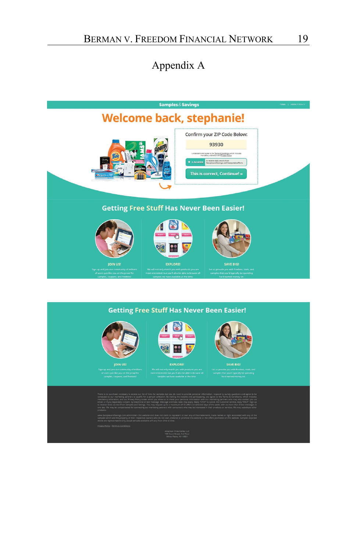## Appendix A

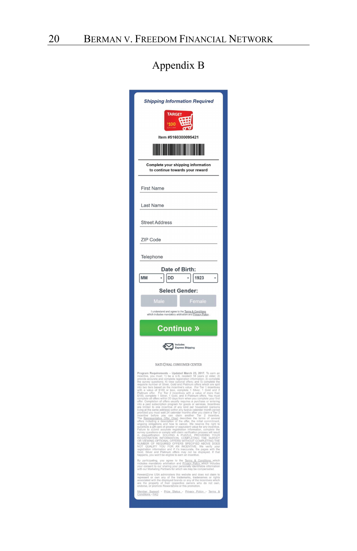# Appendix B

| <b>TARGET</b><br>\$100<br>σ<br>Item #5160300095421<br><b>The Common Service</b><br><b>Complete your shipping information</b><br>to continue towards your reward<br><b>First Name</b><br>Last Name<br><b>Street Address</b><br>ZIP Code<br>Telephone<br>Date of Birth:<br>1923<br>MM<br>DD<br><b>Select Gender:</b>                                                                                                                                                        |
|---------------------------------------------------------------------------------------------------------------------------------------------------------------------------------------------------------------------------------------------------------------------------------------------------------------------------------------------------------------------------------------------------------------------------------------------------------------------------|
|                                                                                                                                                                                                                                                                                                                                                                                                                                                                           |
|                                                                                                                                                                                                                                                                                                                                                                                                                                                                           |
|                                                                                                                                                                                                                                                                                                                                                                                                                                                                           |
|                                                                                                                                                                                                                                                                                                                                                                                                                                                                           |
|                                                                                                                                                                                                                                                                                                                                                                                                                                                                           |
|                                                                                                                                                                                                                                                                                                                                                                                                                                                                           |
|                                                                                                                                                                                                                                                                                                                                                                                                                                                                           |
|                                                                                                                                                                                                                                                                                                                                                                                                                                                                           |
|                                                                                                                                                                                                                                                                                                                                                                                                                                                                           |
|                                                                                                                                                                                                                                                                                                                                                                                                                                                                           |
|                                                                                                                                                                                                                                                                                                                                                                                                                                                                           |
|                                                                                                                                                                                                                                                                                                                                                                                                                                                                           |
|                                                                                                                                                                                                                                                                                                                                                                                                                                                                           |
| Male                                                                                                                                                                                                                                                                                                                                                                                                                                                                      |
| Female<br>I understand and agree to the Terms & Conditions<br>which includes mandatory arbitration and Privacy Policy                                                                                                                                                                                                                                                                                                                                                     |
|                                                                                                                                                                                                                                                                                                                                                                                                                                                                           |
| <b>Continue »</b>                                                                                                                                                                                                                                                                                                                                                                                                                                                         |
| <b>Express Shipping</b>                                                                                                                                                                                                                                                                                                                                                                                                                                                   |
| NATI C NAL CONSUMER CENTER                                                                                                                                                                                                                                                                                                                                                                                                                                                |
| Program Requirements - Updated Match 23, 2017. To carn an experiments - Updated Match 23, 2017. To carn an experiment of the state of the state of the state of the state of the state of the state of the state of the state<br>organized as and how to cancel. We reserve the right and<br>statistical product of equation of problems and the results of the<br>statistical problems and cancel and the case of the case of the case of<br>$\sim$ 10.00000000000000000 |
| By participating, you agree to the Terms & Conditions which<br>includes mandatory arbitration and Privacy, Policy which includes<br>your consent to our sharing your personally identifiable information<br>with our Marketing Partners                                                                                                                                                                                                                                   |
| RewardZone USA administers this website and does not claim to<br>represent or own any of the tradematics, trademames or rights<br>associated with the displayed brands or any of the incentives which<br>are the property of their resp                                                                                                                                                                                                                                   |
| Member Support - Prize Status - Privacy Policy - Terms &                                                                                                                                                                                                                                                                                                                                                                                                                  |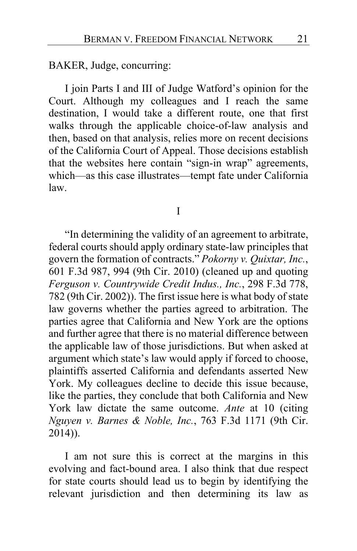BAKER, Judge, concurring:

I join Parts I and III of Judge Watford's opinion for the Court. Although my colleagues and I reach the same destination, I would take a different route, one that first walks through the applicable choice-of-law analysis and then, based on that analysis, relies more on recent decisions of the California Court of Appeal. Those decisions establish that the websites here contain "sign-in wrap" agreements, which—as this case illustrates—tempt fate under California law.

I

"In determining the validity of an agreement to arbitrate, federal courts should apply ordinary state-law principles that govern the formation of contracts." *Pokorny v. Quixtar, Inc.*, 601 F.3d 987, 994 (9th Cir. 2010) (cleaned up and quoting *Ferguson v. Countrywide Credit Indus., Inc.*, 298 F.3d 778, 782 (9th Cir. 2002)). The first issue here is what body of state law governs whether the parties agreed to arbitration. The parties agree that California and New York are the options and further agree that there is no material difference between the applicable law of those jurisdictions. But when asked at argument which state's law would apply if forced to choose, plaintiffs asserted California and defendants asserted New York. My colleagues decline to decide this issue because, like the parties, they conclude that both California and New York law dictate the same outcome. *Ante* at [10](#page-9-1) (citing *Nguyen v. Barnes & Noble, Inc.*, 763 F.3d 1171 (9th Cir. 2014)).

I am not sure this is correct at the margins in this evolving and fact-bound area. I also think that due respect for state courts should lead us to begin by identifying the relevant jurisdiction and then determining its law as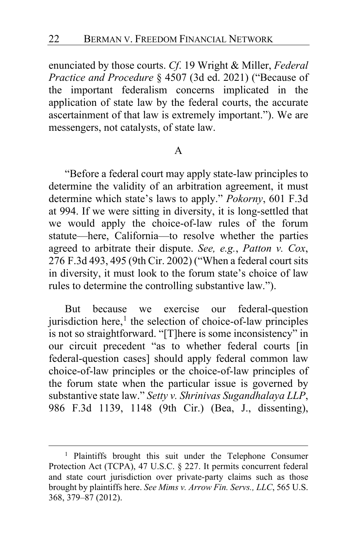enunciated by those courts. *Cf*. 19 Wright & Miller, *Federal Practice and Procedure* § 4507 (3d ed. 2021) ("Because of the important federalism concerns implicated in the application of state law by the federal courts, the accurate ascertainment of that law is extremely important."). We are messengers, not catalysts, of state law.

### A

"Before a federal court may apply state-law principles to determine the validity of an arbitration agreement, it must determine which state's laws to apply." *Pokorny*, 601 F.3d at 994. If we were sitting in diversity, it is long-settled that we would apply the choice-of-law rules of the forum statute—here, California—to resolve whether the parties agreed to arbitrate their dispute. *See, e.g.*, *Patton v. Cox*, 276 F.3d 493, 495 (9th Cir. 2002) ("When a federal court sits in diversity, it must look to the forum state's choice of law rules to determine the controlling substantive law.").

But because we exercise our federal-question jurisdiction here, $<sup>1</sup>$  $<sup>1</sup>$  $<sup>1</sup>$  the selection of choice-of-law principles</sup> is not so straightforward. "[T]here is some inconsistency" in our circuit precedent "as to whether federal courts [in federal-question cases] should apply federal common law choice-of-law principles or the choice-of-law principles of the forum state when the particular issue is governed by substantive state law." *Setty v. Shrinivas Sugandhalaya LLP*, 986 F.3d 1139, 1148 (9th Cir.) (Bea, J., dissenting),

<span id="page-21-0"></span><sup>&</sup>lt;sup>1</sup> Plaintiffs brought this suit under the Telephone Consumer Protection Act (TCPA), 47 U.S.C. § 227. It permits concurrent federal and state court jurisdiction over private-party claims such as those brought by plaintiffs here. *See Mims v. Arrow Fin. Servs., LLC*, 565 U.S. 368, 379–87 (2012).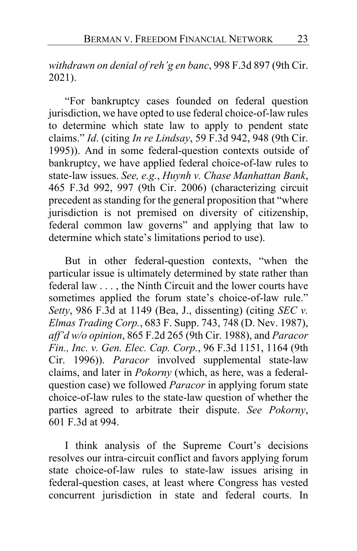*withdrawn on denial of reh'g en banc*, 998 F.3d 897 (9th Cir. 2021).

"For bankruptcy cases founded on federal question jurisdiction, we have opted to use federal choice-of-law rules to determine which state law to apply to pendent state claims." *Id*. (citing *In re Lindsay*, 59 F.3d 942, 948 (9th Cir. 1995)). And in some federal-question contexts outside of bankruptcy, we have applied federal choice-of-law rules to state-law issues. *See, e.g.*, *Huynh v. Chase Manhattan Bank*, 465 F.3d 992, 997 (9th Cir. 2006) (characterizing circuit precedent as standing for the general proposition that "where jurisdiction is not premised on diversity of citizenship, federal common law governs" and applying that law to determine which state's limitations period to use).

But in other federal-question contexts, "when the particular issue is ultimately determined by state rather than federal law . . . , the Ninth Circuit and the lower courts have sometimes applied the forum state's choice-of-law rule." *Setty*, 986 F.3d at 1149 (Bea, J., dissenting) (citing *SEC v. Elmas Trading Corp.*, 683 F. Supp. 743, 748 (D. Nev. 1987), *aff'd w/o opinion*, 865 F.2d 265 (9th Cir. 1988), and *Paracor Fin., Inc. v. Gen. Elec. Cap. Corp.*, 96 F.3d 1151, 1164 (9th Cir. 1996)). *Paracor* involved supplemental state-law claims, and later in *Pokorny* (which, as here, was a federalquestion case) we followed *Paracor* in applying forum state choice-of-law rules to the state-law question of whether the parties agreed to arbitrate their dispute. *See Pokorny*, 601 F.3d at 994.

I think analysis of the Supreme Court's decisions resolves our intra-circuit conflict and favors applying forum state choice-of-law rules to state-law issues arising in federal-question cases, at least where Congress has vested concurrent jurisdiction in state and federal courts. In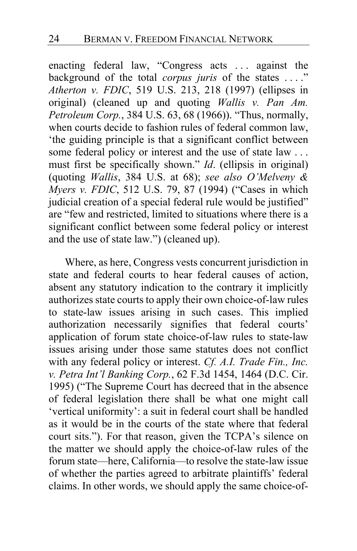enacting federal law, "Congress acts . . . against the background of the total *corpus juris* of the states . . . ." *Atherton v. FDIC*, 519 U.S. 213, 218 (1997) (ellipses in original) (cleaned up and quoting *Wallis v. Pan Am. Petroleum Corp.*, 384 U.S. 63, 68 (1966)). "Thus, normally, when courts decide to fashion rules of federal common law, 'the guiding principle is that a significant conflict between some federal policy or interest and the use of state law . . . must first be specifically shown." *Id*. (ellipsis in original) (quoting *Wallis*, 384 U.S. at 68); *see also O'Melveny & Myers v. FDIC*, 512 U.S. 79, 87 (1994) ("Cases in which judicial creation of a special federal rule would be justified" are "few and restricted, limited to situations where there is a significant conflict between some federal policy or interest and the use of state law.") (cleaned up).

Where, as here, Congress vests concurrent jurisdiction in state and federal courts to hear federal causes of action, absent any statutory indication to the contrary it implicitly authorizes state courts to apply their own choice-of-law rules to state-law issues arising in such cases. This implied authorization necessarily signifies that federal courts' application of forum state choice-of-law rules to state-law issues arising under those same statutes does not conflict with any federal policy or interest. *Cf. A.I. Trade Fin., Inc. v. Petra Int'l Banking Corp.*, 62 F.3d 1454, 1464 (D.C. Cir. 1995) ("The Supreme Court has decreed that in the absence of federal legislation there shall be what one might call 'vertical uniformity': a suit in federal court shall be handled as it would be in the courts of the state where that federal court sits."). For that reason, given the TCPA's silence on the matter we should apply the choice-of-law rules of the forum state—here, California—to resolve the state-law issue of whether the parties agreed to arbitrate plaintiffs' federal claims. In other words, we should apply the same choice-of-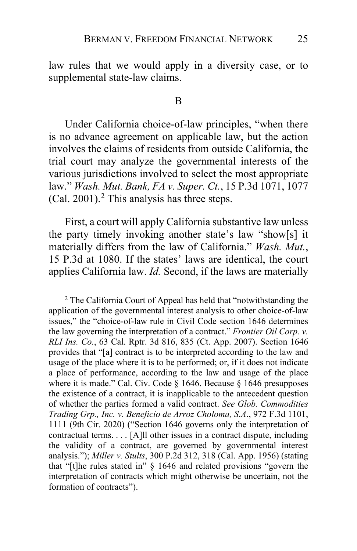law rules that we would apply in a diversity case, or to supplemental state-law claims.

#### B

Under California choice-of-law principles, "when there is no advance agreement on applicable law, but the action involves the claims of residents from outside California, the trial court may analyze the governmental interests of the various jurisdictions involved to select the most appropriate law." *Wash. Mut. Bank, FA v. Super. Ct.*, 15 P.3d 1071, 1077  $(Cal. 2001).<sup>2</sup>$  $(Cal. 2001).<sup>2</sup>$  $(Cal. 2001).<sup>2</sup>$  This analysis has three steps.

First, a court will apply California substantive law unless the party timely invoking another state's law "show[s] it materially differs from the law of California." *Wash. Mut.*, 15 P.3d at 1080. If the states' laws are identical, the court applies California law. *Id.* Second, if the laws are materially

<span id="page-24-0"></span><sup>2</sup> The California Court of Appeal has held that "notwithstanding the application of the governmental interest analysis to other choice-of-law issues," the "choice-of-law rule in Civil Code section 1646 determines the law governing the interpretation of a contract." *Frontier Oil Corp. v. RLI Ins. Co.*, 63 Cal. Rptr. 3d 816, 835 (Ct. App. 2007). Section 1646 provides that "[a] contract is to be interpreted according to the law and usage of the place where it is to be performed; or, if it does not indicate a place of performance, according to the law and usage of the place where it is made." Cal. Civ. Code § 1646. Because § 1646 presupposes the existence of a contract, it is inapplicable to the antecedent question of whether the parties formed a valid contract. *See Glob. Commodities Trading Grp., Inc. v. Beneficio de Arroz Choloma, S.A*., 972 F.3d 1101, 1111 (9th Cir. 2020) ("Section 1646 governs only the interpretation of contractual terms. . . . [A]ll other issues in a contract dispute, including the validity of a contract, are governed by governmental interest analysis."); *Miller v. Stults*, 300 P.2d 312, 318 (Cal. App. 1956) (stating that "[t]he rules stated in" § 1646 and related provisions "govern the interpretation of contracts which might otherwise be uncertain, not the formation of contracts").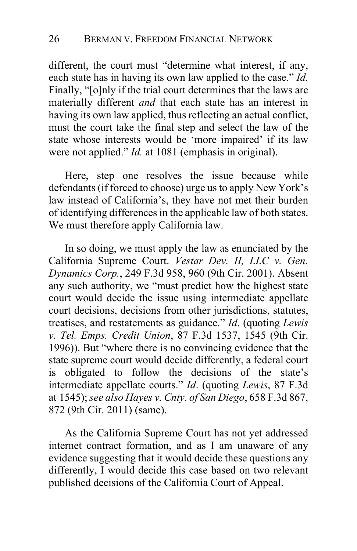different, the court must "determine what interest, if any, each state has in having its own law applied to the case." *Id.* Finally, "[o]nly if the trial court determines that the laws are materially different *and* that each state has an interest in having its own law applied, thus reflecting an actual conflict, must the court take the final step and select the law of the state whose interests would be 'more impaired' if its law were not applied." *Id.* at 1081 (emphasis in original).

Here, step one resolves the issue because while defendants (if forced to choose) urge us to apply New York's law instead of California's, they have not met their burden of identifying differences in the applicable law of both states. We must therefore apply California law.

In so doing, we must apply the law as enunciated by the California Supreme Court. *Vestar Dev. II, LLC v. Gen. Dynamics Corp.*, 249 F.3d 958, 960 (9th Cir. 2001). Absent any such authority, we "must predict how the highest state court would decide the issue using intermediate appellate court decisions, decisions from other jurisdictions, statutes, treatises, and restatements as guidance." *Id*. (quoting *Lewis v. Tel. Emps. Credit Union*, 87 F.3d 1537, 1545 (9th Cir. 1996)). But "where there is no convincing evidence that the state supreme court would decide differently, a federal court is obligated to follow the decisions of the state's intermediate appellate courts." *Id*. (quoting *Lewis*, 87 F.3d at 1545); *see also Hayes v. Cnty. of San Diego*, 658 F.3d 867, 872 (9th Cir. 2011) (same).

As the California Supreme Court has not yet addressed internet contract formation, and as I am unaware of any evidence suggesting that it would decide these questions any differently, I would decide this case based on two relevant published decisions of the California Court of Appeal.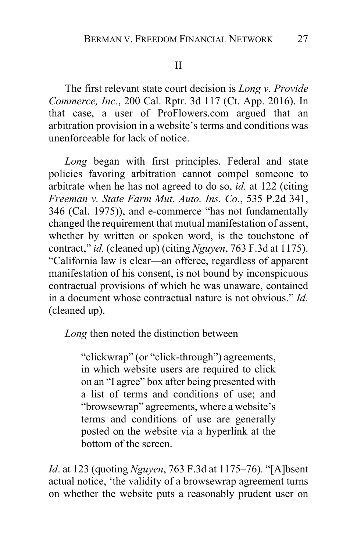### II

The first relevant state court decision is *Long v. Provide Commerce, Inc.*, 200 Cal. Rptr. 3d 117 (Ct. App. 2016). In that case, a user of ProFlowers.com argued that an arbitration provision in a website's terms and conditions was unenforceable for lack of notice.

*Long* began with first principles. Federal and state policies favoring arbitration cannot compel someone to arbitrate when he has not agreed to do so, *id.* at 122 (citing *Freeman v. State Farm Mut. Auto. Ins. Co.*, 535 P.2d 341, 346 (Cal. 1975)), and e-commerce "has not fundamentally changed the requirement that mutual manifestation of assent, whether by written or spoken word, is the touchstone of contract," *id.* (cleaned up) (citing *Nguyen*, 763 F.3d at 1175). "California law is clear—an offeree, regardless of apparent manifestation of his consent, is not bound by inconspicuous contractual provisions of which he was unaware, contained in a document whose contractual nature is not obvious." *Id.* (cleaned up).

*Long* then noted the distinction between

"clickwrap" (or "click-through") agreements, in which website users are required to click on an "I agree" box after being presented with a list of terms and conditions of use; and "browsewrap" agreements, where a website's terms and conditions of use are generally posted on the website via a hyperlink at the bottom of the screen.

*Id*. at 123 (quoting *Nguyen*, 763 F.3d at 1175–76). "[A]bsent actual notice, 'the validity of a browsewrap agreement turns on whether the website puts a reasonably prudent user on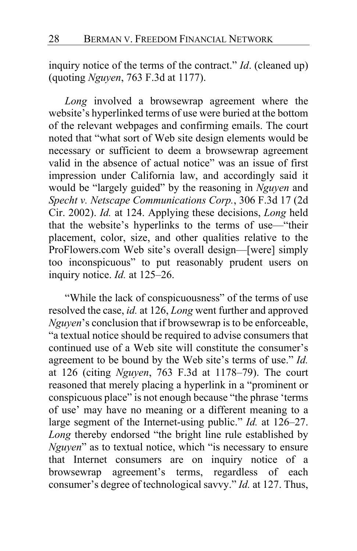inquiry notice of the terms of the contract." *Id*. (cleaned up) (quoting *Nguyen*, 763 F.3d at 1177).

*Long* involved a browsewrap agreement where the website's hyperlinked terms of use were buried at the bottom of the relevant webpages and confirming emails. The court noted that "what sort of Web site design elements would be necessary or sufficient to deem a browsewrap agreement valid in the absence of actual notice" was an issue of first impression under California law, and accordingly said it would be "largely guided" by the reasoning in *Nguyen* and *Specht v. Netscape Communications Corp.*, 306 F.3d 17 (2d Cir. 2002). *Id.* at 124. Applying these decisions, *Long* held that the website's hyperlinks to the terms of use—"their placement, color, size, and other qualities relative to the ProFlowers.com Web site's overall design—[were] simply too inconspicuous" to put reasonably prudent users on inquiry notice. *Id.* at 125–26.

"While the lack of conspicuousness" of the terms of use resolved the case, *id.* at 126, *Long* went further and approved *Nguyen*'s conclusion that if browsewrap is to be enforceable, "a textual notice should be required to advise consumers that continued use of a Web site will constitute the consumer's agreement to be bound by the Web site's terms of use." *Id.* at 126 (citing *Nguyen*, 763 F.3d at 1178–79). The court reasoned that merely placing a hyperlink in a "prominent or conspicuous place" is not enough because "the phrase 'terms of use' may have no meaning or a different meaning to a large segment of the Internet-using public." *Id.* at 126–27. *Long* thereby endorsed "the bright line rule established by *Nguyen*" as to textual notice, which "is necessary to ensure that Internet consumers are on inquiry notice of a browsewrap agreement's terms, regardless of each consumer's degree of technological savvy." *Id.* at 127. Thus,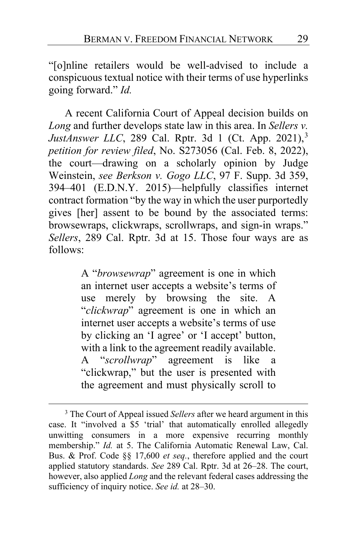"[o]nline retailers would be well-advised to include a conspicuous textual notice with their terms of use hyperlinks going forward." *Id.*

A recent California Court of Appeal decision builds on *Long* and further develops state law in this area. In *Sellers v. JustAnswer LLC*, 289 Cal. Rptr. [3](#page-28-0)d 1 (Ct. App. 2021),<sup>3</sup> *petition for review filed*, No. S273056 (Cal. Feb. 8, 2022), the court—drawing on a scholarly opinion by Judge Weinstein, *see Berkson v. Gogo LLC*, 97 F. Supp. 3d 359, 394–401 (E.D.N.Y. 2015)—helpfully classifies internet contract formation "by the way in which the user purportedly gives [her] assent to be bound by the associated terms: browsewraps, clickwraps, scrollwraps, and sign-in wraps." *Sellers*, 289 Cal. Rptr. 3d at 15. Those four ways are as follows:

> A "*browsewrap*" agreement is one in which an internet user accepts a website's terms of use merely by browsing the site. A "*clickwrap*" agreement is one in which an internet user accepts a website's terms of use by clicking an 'I agree' or 'I accept' button, with a link to the agreement readily available. A "*scrollwrap*" agreement is like a "clickwrap," but the user is presented with the agreement and must physically scroll to

<span id="page-28-0"></span><sup>3</sup> The Court of Appeal issued *Sellers* after we heard argument in this case. It "involved a \$5 'trial' that automatically enrolled allegedly unwitting consumers in a more expensive recurring monthly membership." *Id.* at 5. The California Automatic Renewal Law, Cal. Bus. & Prof. Code §§ 17,600 *et seq.*, therefore applied and the court applied statutory standards. *See* 289 Cal. Rptr. 3d at 26–28. The court, however, also applied *Long* and the relevant federal cases addressing the sufficiency of inquiry notice. *See id.* at 28–30.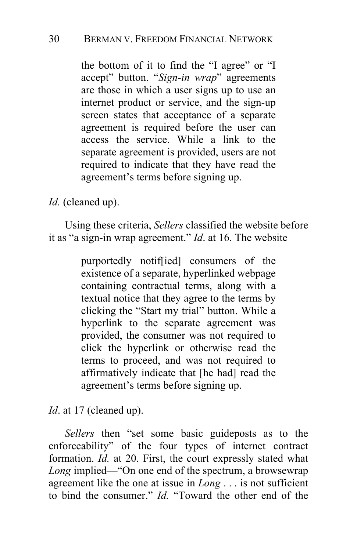the bottom of it to find the "I agree" or "I accept" button. "*Sign-in wrap*" agreements are those in which a user signs up to use an internet product or service, and the sign-up screen states that acceptance of a separate agreement is required before the user can access the service. While a link to the separate agreement is provided, users are not required to indicate that they have read the agreement's terms before signing up.

*Id.* (cleaned up).

Using these criteria, *Sellers* classified the website before it as "a sign-in wrap agreement." *Id*. at 16. The website

> purportedly notif[ied] consumers of the existence of a separate, hyperlinked webpage containing contractual terms, along with a textual notice that they agree to the terms by clicking the "Start my trial" button. While a hyperlink to the separate agreement was provided, the consumer was not required to click the hyperlink or otherwise read the terms to proceed, and was not required to affirmatively indicate that [he had] read the agreement's terms before signing up.

*Id.* at 17 (cleaned up).

*Sellers* then "set some basic guideposts as to the enforceability" of the four types of internet contract formation. *Id.* at 20. First, the court expressly stated what Long implied—"On one end of the spectrum, a browsewrap agreement like the one at issue in *Long* . . . is not sufficient to bind the consumer." *Id.* "Toward the other end of the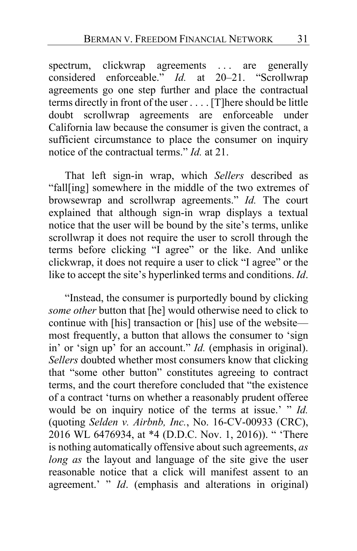spectrum, clickwrap agreements ... are generally considered enforceable." *Id.* at 20–21. "Scrollwrap agreements go one step further and place the contractual terms directly in front of the user . . . . [T]here should be little doubt scrollwrap agreements are enforceable under California law because the consumer is given the contract, a sufficient circumstance to place the consumer on inquiry notice of the contractual terms." *Id.* at 21.

That left sign-in wrap, which *Sellers* described as "fall[ing] somewhere in the middle of the two extremes of browsewrap and scrollwrap agreements." *Id.* The court explained that although sign-in wrap displays a textual notice that the user will be bound by the site's terms, unlike scrollwrap it does not require the user to scroll through the terms before clicking "I agree" or the like. And unlike clickwrap, it does not require a user to click "I agree" or the like to accept the site's hyperlinked terms and conditions. *Id*.

"Instead, the consumer is purportedly bound by clicking *some other* button that [he] would otherwise need to click to continue with [his] transaction or [his] use of the website most frequently, a button that allows the consumer to 'sign in' or 'sign up' for an account." *Id.* (emphasis in original). *Sellers* doubted whether most consumers know that clicking that "some other button" constitutes agreeing to contract terms, and the court therefore concluded that "the existence of a contract 'turns on whether a reasonably prudent offeree would be on inquiry notice of the terms at issue.' " *Id.* (quoting *Selden v. Airbnb, Inc.*, No. 16-CV-00933 (CRC), 2016 WL 6476934, at \*4 (D.D.C. Nov. 1, 2016)). " 'There is nothing automatically offensive about such agreements, *as long as* the layout and language of the site give the user reasonable notice that a click will manifest assent to an agreement.' " *Id*. (emphasis and alterations in original)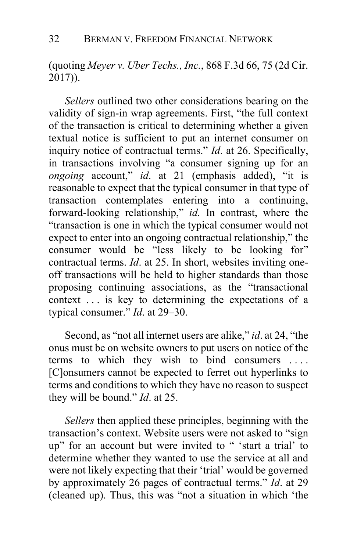(quoting *Meyer v. Uber Techs., Inc.*, 868 F.3d 66, 75 (2d Cir. 2017)).

*Sellers* outlined two other considerations bearing on the validity of sign-in wrap agreements. First, "the full context of the transaction is critical to determining whether a given textual notice is sufficient to put an internet consumer on inquiry notice of contractual terms." *Id*. at 26. Specifically, in transactions involving "a consumer signing up for an *ongoing* account," *id*. at 21 (emphasis added), "it is reasonable to expect that the typical consumer in that type of transaction contemplates entering into a continuing, forward-looking relationship," *id.* In contrast, where the "transaction is one in which the typical consumer would not expect to enter into an ongoing contractual relationship," the consumer would be "less likely to be looking for" contractual terms. *Id*. at 25. In short, websites inviting oneoff transactions will be held to higher standards than those proposing continuing associations, as the "transactional context . . . is key to determining the expectations of a typical consumer." *Id*. at 29–30.

Second, as "not all internet users are alike," *id*. at 24, "the onus must be on website owners to put users on notice of the terms to which they wish to bind consumers .... [C]onsumers cannot be expected to ferret out hyperlinks to terms and conditions to which they have no reason to suspect they will be bound." *Id*. at 25.

*Sellers* then applied these principles, beginning with the transaction's context. Website users were not asked to "sign up" for an account but were invited to " 'start a trial' to determine whether they wanted to use the service at all and were not likely expecting that their 'trial' would be governed by approximately 26 pages of contractual terms." *Id*. at 29 (cleaned up). Thus, this was "not a situation in which 'the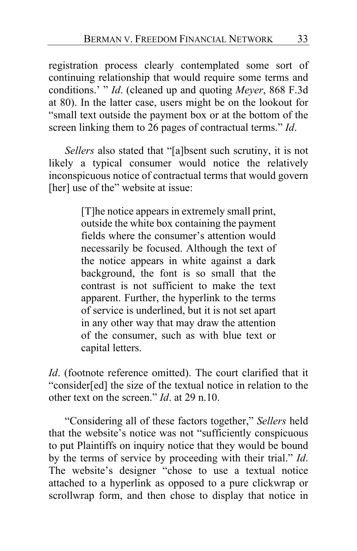registration process clearly contemplated some sort of continuing relationship that would require some terms and conditions.' " *Id*. (cleaned up and quoting *Meyer*, 868 F.3d at 80). In the latter case, users might be on the lookout for "small text outside the payment box or at the bottom of the screen linking them to 26 pages of contractual terms." *Id*.

*Sellers* also stated that "[a]bsent such scrutiny, it is not likely a typical consumer would notice the relatively inconspicuous notice of contractual terms that would govern [her] use of the" website at issue:

> [T]he notice appears in extremely small print, outside the white box containing the payment fields where the consumer's attention would necessarily be focused. Although the text of the notice appears in white against a dark background, the font is so small that the contrast is not sufficient to make the text apparent. Further, the hyperlink to the terms of service is underlined, but it is not set apart in any other way that may draw the attention of the consumer, such as with blue text or capital letters.

*Id*. (footnote reference omitted). The court clarified that it "consider[ed] the size of the textual notice in relation to the other text on the screen." *Id*. at 29 n.10.

"Considering all of these factors together," *Sellers* held that the website's notice was not "sufficiently conspicuous to put Plaintiffs on inquiry notice that they would be bound by the terms of service by proceeding with their trial." *Id*. The website's designer "chose to use a textual notice attached to a hyperlink as opposed to a pure clickwrap or scrollwrap form, and then chose to display that notice in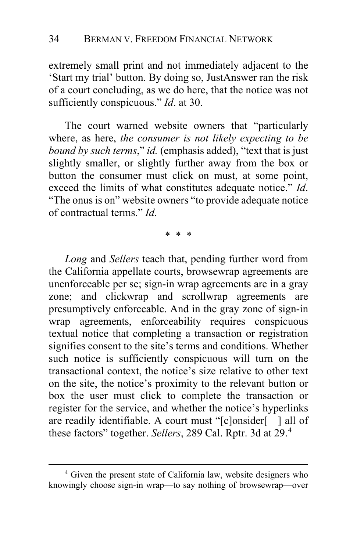extremely small print and not immediately adjacent to the 'Start my trial' button. By doing so, JustAnswer ran the risk of a court concluding, as we do here, that the notice was not sufficiently conspicuous." *Id*. at 30.

The court warned website owners that "particularly where, as here, *the consumer is not likely expecting to be bound by such terms*," *id.* (emphasis added), "text that is just slightly smaller, or slightly further away from the box or button the consumer must click on must, at some point, exceed the limits of what constitutes adequate notice." *Id*. "The onus is on" website owners "to provide adequate notice of contractual terms." *Id*.

\* \* \*

*Long* and *Sellers* teach that, pending further word from the California appellate courts, browsewrap agreements are unenforceable per se; sign-in wrap agreements are in a gray zone; and clickwrap and scrollwrap agreements are presumptively enforceable. And in the gray zone of sign-in wrap agreements, enforceability requires conspicuous textual notice that completing a transaction or registration signifies consent to the site's terms and conditions. Whether such notice is sufficiently conspicuous will turn on the transactional context, the notice's size relative to other text on the site, the notice's proximity to the relevant button or box the user must click to complete the transaction or register for the service, and whether the notice's hyperlinks are readily identifiable. A court must "[c]onsider[ ] all of these factors" together. *Sellers*, 289 Cal. Rptr. 3d at 29.[4](#page-33-0)

<span id="page-33-0"></span><sup>4</sup> Given the present state of California law, website designers who knowingly choose sign-in wrap—to say nothing of browsewrap—over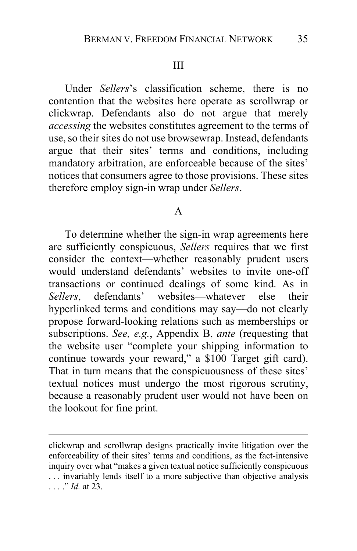### III

Under *Sellers*'s classification scheme, there is no contention that the websites here operate as scrollwrap or clickwrap. Defendants also do not argue that merely *accessing* the websites constitutes agreement to the terms of use, so their sites do not use browsewrap. Instead, defendants argue that their sites' terms and conditions, including mandatory arbitration, are enforceable because of the sites' notices that consumers agree to those provisions. These sites therefore employ sign-in wrap under *Sellers*.

#### A

To determine whether the sign-in wrap agreements here are sufficiently conspicuous, *Sellers* requires that we first consider the context—whether reasonably prudent users would understand defendants' websites to invite one-off transactions or continued dealings of some kind. As in *Sellers*, defendants' websites—whatever else their hyperlinked terms and conditions may say—do not clearly propose forward-looking relations such as memberships or subscriptions. *See, e.g.*, Appendix B, *ante* (requesting that the website user "complete your shipping information to continue towards your reward," a \$100 Target gift card). That in turn means that the conspicuousness of these sites' textual notices must undergo the most rigorous scrutiny, because a reasonably prudent user would not have been on the lookout for fine print.

clickwrap and scrollwrap designs practically invite litigation over the enforceability of their sites' terms and conditions, as the fact-intensive inquiry over what "makes a given textual notice sufficiently conspicuous . . . invariably lends itself to a more subjective than objective analysis . . . ." *Id.* at 23.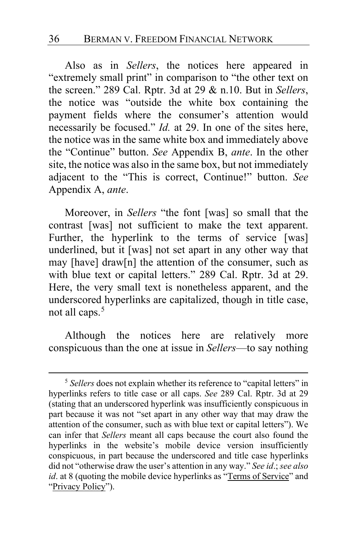Also as in *Sellers*, the notices here appeared in "extremely small print" in comparison to "the other text on the screen." 289 Cal. Rptr. 3d at 29 & n.10. But in *Sellers*, the notice was "outside the white box containing the payment fields where the consumer's attention would necessarily be focused." *Id.* at 29. In one of the sites here, the notice was in the same white box and immediately above the "Continue" button. *See* Appendix B, *ante*. In the other site, the notice was also in the same box, but not immediately adjacent to the "This is correct, Continue!" button. *See* Appendix A, *ante*.

Moreover, in *Sellers* "the font [was] so small that the contrast [was] not sufficient to make the text apparent. Further, the hyperlink to the terms of service [was] underlined, but it [was] not set apart in any other way that may [have] draw[n] the attention of the consumer, such as with blue text or capital letters." 289 Cal. Rptr. 3d at 29. Here, the very small text is nonetheless apparent, and the underscored hyperlinks are capitalized, though in title case, not all caps.<sup>[5](#page-35-0)</sup>

Although the notices here are relatively more conspicuous than the one at issue in *Sellers*—to say nothing

<span id="page-35-0"></span><sup>&</sup>lt;sup>5</sup> Sellers does not explain whether its reference to "capital letters" in hyperlinks refers to title case or all caps. *See* 289 Cal. Rptr. 3d at 29 (stating that an underscored hyperlink was insufficiently conspicuous in part because it was not "set apart in any other way that may draw the attention of the consumer, such as with blue text or capital letters"). We can infer that *Sellers* meant all caps because the court also found the hyperlinks in the website's mobile device version insufficiently conspicuous, in part because the underscored and title case hyperlinks did not "otherwise draw the user's attention in any way." *See id*.; *see also id*. at 8 (quoting the mobile device hyperlinks as "Terms of Service" and "Privacy Policy").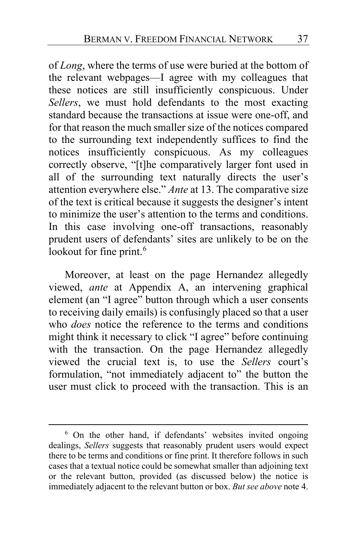of *Long*, where the terms of use were buried at the bottom of the relevant webpages—I agree with my colleagues that these notices are still insufficiently conspicuous. Under *Sellers*, we must hold defendants to the most exacting standard because the transactions at issue were one-off, and for that reason the much smaller size of the notices compared to the surrounding text independently suffices to find the notices insufficiently conspicuous. As my colleagues correctly observe, "[t]he comparatively larger font used in all of the surrounding text naturally directs the user's attention everywhere else." *Ante* at [13.](#page-12-0) The comparative size of the text is critical because it suggests the designer's intent to minimize the user's attention to the terms and conditions. In this case involving one-off transactions, reasonably prudent users of defendants' sites are unlikely to be on the lookout for fine print.<sup>[6](#page-36-0)</sup>

Moreover, at least on the page Hernandez allegedly viewed, *ante* at Appendix A, an intervening graphical element (an "I agree" button through which a user consents to receiving daily emails) is confusingly placed so that a user who *does* notice the reference to the terms and conditions might think it necessary to click "I agree" before continuing with the transaction. On the page Hernandez allegedly viewed the crucial text is, to use the *Sellers* court's formulation, "not immediately adjacent to" the button the user must click to proceed with the transaction. This is an

<span id="page-36-0"></span><sup>6</sup> On the other hand, if defendants' websites invited ongoing dealings, *Sellers* suggests that reasonably prudent users would expect there to be terms and conditions or fine print. It therefore follows in such cases that a textual notice could be somewhat smaller than adjoining text or the relevant button, provided (as discussed below) the notice is immediately adjacent to the relevant button or box. *But see above* note 4.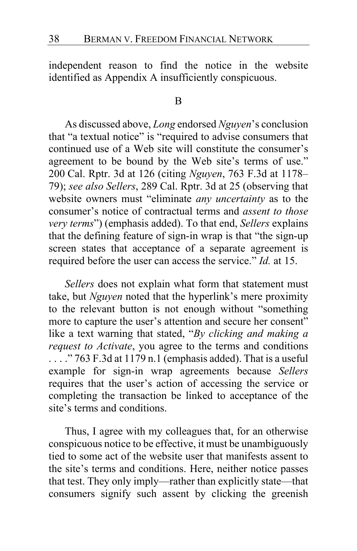independent reason to find the notice in the website identified as Appendix A insufficiently conspicuous.

### B

As discussed above, *Long* endorsed *Nguyen*'s conclusion that "a textual notice" is "required to advise consumers that continued use of a Web site will constitute the consumer's agreement to be bound by the Web site's terms of use." 200 Cal. Rptr. 3d at 126 (citing *Nguyen*, 763 F.3d at 1178– 79); *see also Sellers*, 289 Cal. Rptr. 3d at 25 (observing that website owners must "eliminate *any uncertainty* as to the consumer's notice of contractual terms and *assent to those very terms*") (emphasis added). To that end, *Sellers* explains that the defining feature of sign-in wrap is that "the sign-up screen states that acceptance of a separate agreement is required before the user can access the service." *Id.* at 15.

*Sellers* does not explain what form that statement must take, but *Nguyen* noted that the hyperlink's mere proximity to the relevant button is not enough without "something more to capture the user's attention and secure her consent" like a text warning that stated, "*By clicking and making a request to Activate*, you agree to the terms and conditions  $\ldots$  ." 763 F.3d at 1179 n.1 (emphasis added). That is a useful example for sign-in wrap agreements because *Sellers* requires that the user's action of accessing the service or completing the transaction be linked to acceptance of the site's terms and conditions.

Thus, I agree with my colleagues that, for an otherwise conspicuous notice to be effective, it must be unambiguously tied to some act of the website user that manifests assent to the site's terms and conditions. Here, neither notice passes that test. They only imply—rather than explicitly state—that consumers signify such assent by clicking the greenish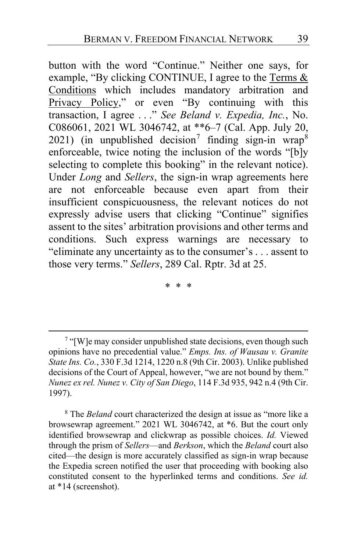button with the word "Continue." Neither one says, for example, "By clicking CONTINUE, I agree to the Terms & Conditions which includes mandatory arbitration and Privacy Policy," or even "By continuing with this transaction, I agree . . ." *See Beland v. Expedia, Inc.*, No. C086061, 2021 WL 3046742, at \*\*6–7 (Cal. App. July 20, 2021) (in unpublished decision<sup>[7](#page-38-0)</sup> finding sign-in wrap<sup>[8](#page-38-1)</sup> enforceable, twice noting the inclusion of the words "[b]y selecting to complete this booking" in the relevant notice). Under *Long* and *Sellers*, the sign-in wrap agreements here are not enforceable because even apart from their insufficient conspicuousness, the relevant notices do not expressly advise users that clicking "Continue" signifies assent to the sites' arbitration provisions and other terms and conditions. Such express warnings are necessary to "eliminate any uncertainty as to the consumer's . . . assent to those very terms." *Sellers*, 289 Cal. Rptr. 3d at 25.

\* \* \*

<span id="page-38-1"></span><sup>8</sup> The *Beland* court characterized the design at issue as "more like a browsewrap agreement." 2021 WL 3046742, at \*6. But the court only identified browsewrap and clickwrap as possible choices. *Id.* Viewed through the prism of *Sellers*—and *Berkson*, which the *Beland* court also cited—the design is more accurately classified as sign-in wrap because the Expedia screen notified the user that proceeding with booking also constituted consent to the hyperlinked terms and conditions. *See id.* at \*14 (screenshot).

<span id="page-38-0"></span><sup>7</sup> "[W]e may consider unpublished state decisions, even though such opinions have no precedential value." *Emps. Ins. of Wausau v. Granite State Ins. Co.*, 330 F.3d 1214, 1220 n.8 (9th Cir. 2003). Unlike published decisions of the Court of Appeal, however, "we are not bound by them." *Nunez ex rel. Nunez v. City of San Diego*, 114 F.3d 935, 942 n.4 (9th Cir. 1997).